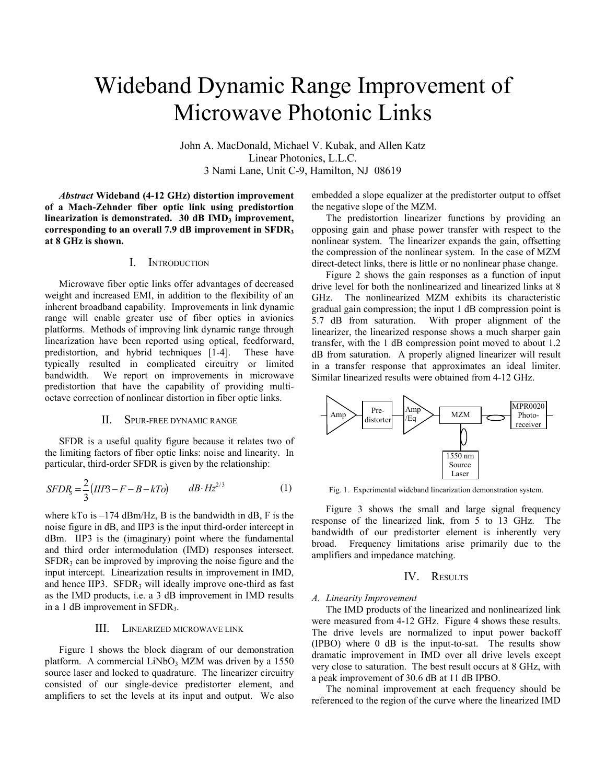# Wideband Dynamic Range Improvement of Microwave Photonic Links

John A. MacDonald, Michael V. Kubak, and Allen Katz Linear Photonics, L.L.C. 3 Nami Lane, Unit C-9, Hamilton, NJ 08619

*Abstract* **Wideband (4-12 GHz) distortion improvement of a Mach-Zehnder fiber optic link using predistortion**  linearization is demonstrated. 30 dB IMD<sub>3</sub> improvement, **corresponding to an overall 7.9 dB improvement in SFDR3 at 8 GHz is shown.** 

# I. INTRODUCTION

Microwave fiber optic links offer advantages of decreased weight and increased EMI, in addition to the flexibility of an inherent broadband capability. Improvements in link dynamic range will enable greater use of fiber optics in avionics platforms. Methods of improving link dynamic range through linearization have been reported using optical, feedforward, predistortion, and hybrid techniques [1-4]. These have typically resulted in complicated circuitry or limited bandwidth. We report on improvements in microwave predistortion that have the capability of providing multioctave correction of nonlinear distortion in fiber optic links.

# II. SPUR-FREE DYNAMIC RANGE

SFDR is a useful quality figure because it relates two of the limiting factors of fiber optic links: noise and linearity. In particular, third-order SFDR is given by the relationship:

$$
SFDR_3 = \frac{2}{3}(HP3 - F - B - kTo) \qquad dB \cdot Hz^{2/3} \tag{1}
$$

where kTo is  $-174$  dBm/Hz, B is the bandwidth in dB, F is the noise figure in dB, and IIP3 is the input third-order intercept in dBm. IIP3 is the (imaginary) point where the fundamental and third order intermodulation (IMD) responses intersect.  $SFDR<sub>3</sub>$  can be improved by improving the noise figure and the input intercept. Linearization results in improvement in IMD, and hence IIP3.  $SFR<sub>3</sub>$  will ideally improve one-third as fast as the IMD products, i.e. a 3 dB improvement in IMD results in a 1 dB improvement in SFDR3.

# III. LINEARIZED MICROWAVE LINK

Figure 1 shows the block diagram of our demonstration platform. A commercial LiNbO<sub>3</sub> MZM was driven by a 1550 source laser and locked to quadrature. The linearizer circuitry consisted of our single-device predistorter element, and amplifiers to set the levels at its input and output. We also embedded a slope equalizer at the predistorter output to offset the negative slope of the MZM.

The predistortion linearizer functions by providing an opposing gain and phase power transfer with respect to the nonlinear system. The linearizer expands the gain, offsetting the compression of the nonlinear system. In the case of MZM direct-detect links, there is little or no nonlinear phase change.

Figure 2 shows the gain responses as a function of input drive level for both the nonlinearized and linearized links at 8 GHz. The nonlinearized MZM exhibits its characteristic gradual gain compression; the input 1 dB compression point is 5.7 dB from saturation. With proper alignment of the linearizer, the linearized response shows a much sharper gain transfer, with the 1 dB compression point moved to about 1.2 dB from saturation. A properly aligned linearizer will result in a transfer response that approximates an ideal limiter. Similar linearized results were obtained from 4-12 GHz.



Fig. 1. Experimental wideband linearization demonstration system.

Figure 3 shows the small and large signal frequency response of the linearized link, from 5 to 13 GHz. The bandwidth of our predistorter element is inherently very broad. Frequency limitations arise primarily due to the amplifiers and impedance matching.

## IV. RESULTS

#### *A. Linearity Improvement*

The IMD products of the linearized and nonlinearized link were measured from 4-12 GHz. Figure 4 shows these results. The drive levels are normalized to input power backoff (IPBO) where 0 dB is the input-to-sat. The results show dramatic improvement in IMD over all drive levels except very close to saturation. The best result occurs at 8 GHz, with a peak improvement of 30.6 dB at 11 dB IPBO.

The nominal improvement at each frequency should be referenced to the region of the curve where the linearized IMD